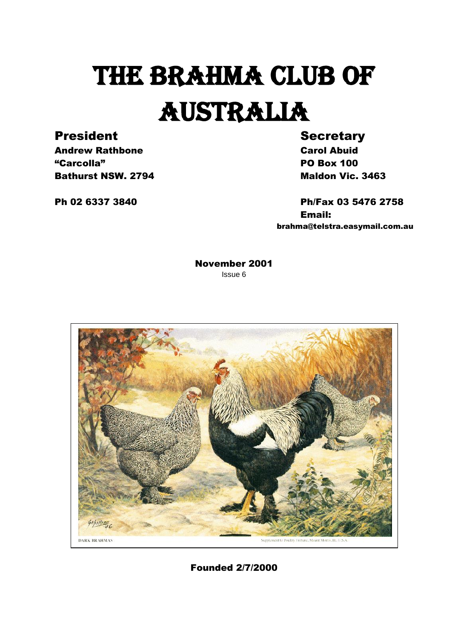# THE BRAHMA CLUB OF AUSTRALIA

### President Secretary

Andrew Rathbone **Carol Abuid** "Carcolla" PO Box 100 **Bathurst NSW. 2794** Maldon Vic. 3463

Ph 02 6337 3840 Ph/Fax 03 5476 2758 Email: brahma@telstra.easymail.com.au

> November 2001 Issue 6



Founded 2/7/2000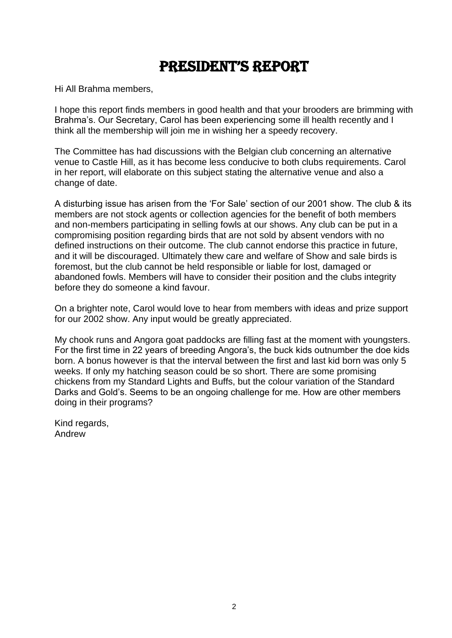### President's rePort

Hi All Brahma members,

I hope this report finds members in good health and that your brooders are brimming with Brahma's. Our Secretary, Carol has been experiencing some ill health recently and I think all the membership will join me in wishing her a speedy recovery.

The Committee has had discussions with the Belgian club concerning an alternative venue to Castle Hill, as it has become less conducive to both clubs requirements. Carol in her report, will elaborate on this subject stating the alternative venue and also a change of date.

A disturbing issue has arisen from the 'For Sale' section of our 2001 show. The club & its members are not stock agents or collection agencies for the benefit of both members and non-members participating in selling fowls at our shows. Any club can be put in a compromising position regarding birds that are not sold by absent vendors with no defined instructions on their outcome. The club cannot endorse this practice in future, and it will be discouraged. Ultimately thew care and welfare of Show and sale birds is foremost, but the club cannot be held responsible or liable for lost, damaged or abandoned fowls. Members will have to consider their position and the clubs integrity before they do someone a kind favour.

On a brighter note, Carol would love to hear from members with ideas and prize support for our 2002 show. Any input would be greatly appreciated.

My chook runs and Angora goat paddocks are filling fast at the moment with youngsters. For the first time in 22 years of breeding Angora's, the buck kids outnumber the doe kids born. A bonus however is that the interval between the first and last kid born was only 5 weeks. If only my hatching season could be so short. There are some promising chickens from my Standard Lights and Buffs, but the colour variation of the Standard Darks and Gold's. Seems to be an ongoing challenge for me. How are other members doing in their programs?

Kind regards, Andrew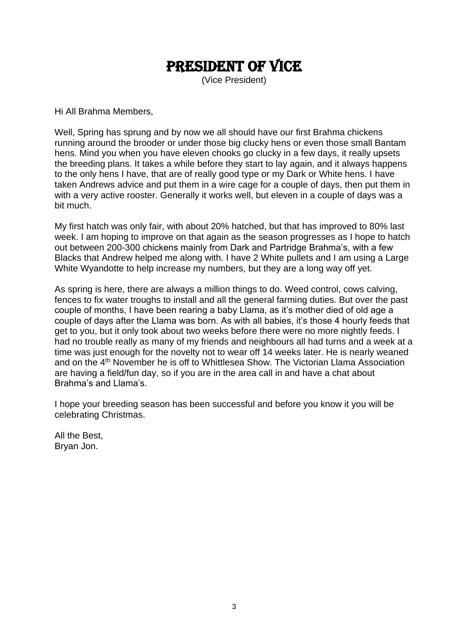### President of vice

(Vice President)

Hi All Brahma Members,

Well, Spring has sprung and by now we all should have our first Brahma chickens running around the brooder or under those big clucky hens or even those small Bantam hens. Mind you when you have eleven chooks go clucky in a few days, it really upsets the breeding plans. It takes a while before they start to lay again, and it always happens to the only hens I have, that are of really good type or my Dark or White hens. I have taken Andrews advice and put them in a wire cage for a couple of days, then put them in with a very active rooster. Generally it works well, but eleven in a couple of days was a bit much.

My first hatch was only fair, with about 20% hatched, but that has improved to 80% last week. I am hoping to improve on that again as the season progresses as I hope to hatch out between 200-300 chickens mainly from Dark and Partridge Brahma's, with a few Blacks that Andrew helped me along with. I have 2 White pullets and I am using a Large White Wyandotte to help increase my numbers, but they are a long way off yet.

As spring is here, there are always a million things to do. Weed control, cows calving, fences to fix water troughs to install and all the general farming duties. But over the past couple of months, I have been rearing a baby Llama, as it's mother died of old age a couple of days after the Llama was born. As with all babies, it's those 4 hourly feeds that get to you, but it only took about two weeks before there were no more nightly feeds. I had no trouble really as many of my friends and neighbours all had turns and a week at a time was just enough for the novelty not to wear off 14 weeks later. He is nearly weaned and on the 4th November he is off to Whittlesea Show. The Victorian Llama Association are having a field/fun day, so if you are in the area call in and have a chat about Brahma's and Llama's.

I hope your breeding season has been successful and before you know it you will be celebrating Christmas.

All the Best, Bryan Jon.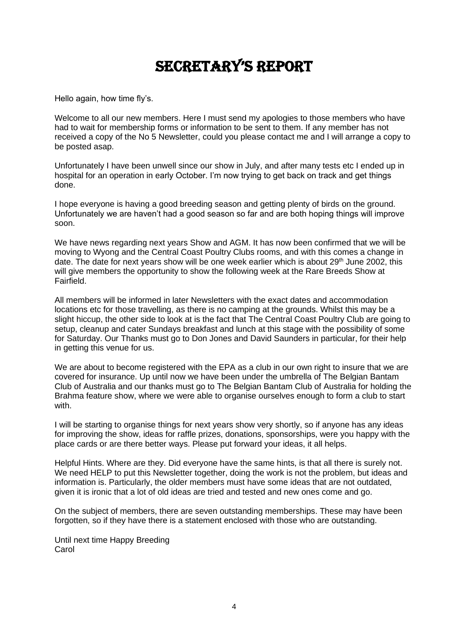### secretary's rePort

Hello again, how time fly's.

Welcome to all our new members. Here I must send my apologies to those members who have had to wait for membership forms or information to be sent to them. If any member has not received a copy of the No 5 Newsletter, could you please contact me and I will arrange a copy to be posted asap.

Unfortunately I have been unwell since our show in July, and after many tests etc I ended up in hospital for an operation in early October. I'm now trying to get back on track and get things done.

I hope everyone is having a good breeding season and getting plenty of birds on the ground. Unfortunately we are haven't had a good season so far and are both hoping things will improve soon.

We have news regarding next years Show and AGM. It has now been confirmed that we will be moving to Wyong and the Central Coast Poultry Clubs rooms, and with this comes a change in date. The date for next years show will be one week earlier which is about  $29<sup>th</sup>$  June 2002, this will give members the opportunity to show the following week at the Rare Breeds Show at Fairfield.

All members will be informed in later Newsletters with the exact dates and accommodation locations etc for those travelling, as there is no camping at the grounds. Whilst this may be a slight hiccup, the other side to look at is the fact that The Central Coast Poultry Club are going to setup, cleanup and cater Sundays breakfast and lunch at this stage with the possibility of some for Saturday. Our Thanks must go to Don Jones and David Saunders in particular, for their help in getting this venue for us.

We are about to become registered with the EPA as a club in our own right to insure that we are covered for insurance. Up until now we have been under the umbrella of The Belgian Bantam Club of Australia and our thanks must go to The Belgian Bantam Club of Australia for holding the Brahma feature show, where we were able to organise ourselves enough to form a club to start with.

I will be starting to organise things for next years show very shortly, so if anyone has any ideas for improving the show, ideas for raffle prizes, donations, sponsorships, were you happy with the place cards or are there better ways. Please put forward your ideas, it all helps.

Helpful Hints. Where are they. Did everyone have the same hints, is that all there is surely not. We need HELP to put this Newsletter together, doing the work is not the problem, but ideas and information is. Particularly, the older members must have some ideas that are not outdated, given it is ironic that a lot of old ideas are tried and tested and new ones come and go.

On the subject of members, there are seven outstanding memberships. These may have been forgotten, so if they have there is a statement enclosed with those who are outstanding.

Until next time Happy Breeding **Carol**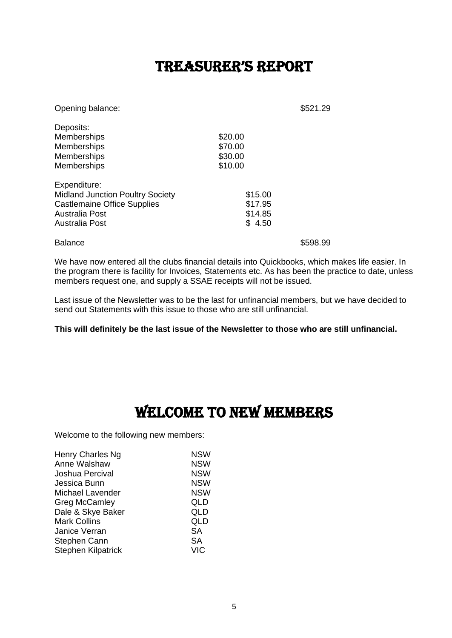### treasurer's rePort

| Opening balance:                                                                                                                  |                                          | \$521.29 |
|-----------------------------------------------------------------------------------------------------------------------------------|------------------------------------------|----------|
| Deposits:<br>Memberships<br><b>Memberships</b><br>Memberships<br><b>Memberships</b>                                               | \$20.00<br>\$70.00<br>\$30.00<br>\$10.00 |          |
| Expenditure:<br><b>Midland Junction Poultry Society</b><br><b>Castlemaine Office Supplies</b><br>Australia Post<br>Australia Post | \$15.00<br>\$17.95<br>\$14.85<br>\$4.50  |          |

Balance \$598.99

We have now entered all the clubs financial details into Quickbooks, which makes life easier. In the program there is facility for Invoices, Statements etc. As has been the practice to date, unless members request one, and supply a SSAE receipts will not be issued.

Last issue of the Newsletter was to be the last for unfinancial members, but we have decided to send out Statements with this issue to those who are still unfinancial.

**This will definitely be the last issue of the Newsletter to those who are still unfinancial.**

### Welcome to new members

Welcome to the following new members:

| Henry Charles Ng          | <b>NSW</b> |
|---------------------------|------------|
| Anne Walshaw              | <b>NSW</b> |
| Joshua Percival           | <b>NSW</b> |
| Jessica Bunn              | <b>NSW</b> |
| Michael Lavender          | <b>NSW</b> |
| <b>Greg McCamley</b>      | QLD        |
| Dale & Skye Baker         | QLD        |
| <b>Mark Collins</b>       | QLD        |
| Janice Verran             | SА         |
| Stephen Cann              | SА         |
| <b>Stephen Kilpatrick</b> | <b>VIC</b> |
|                           |            |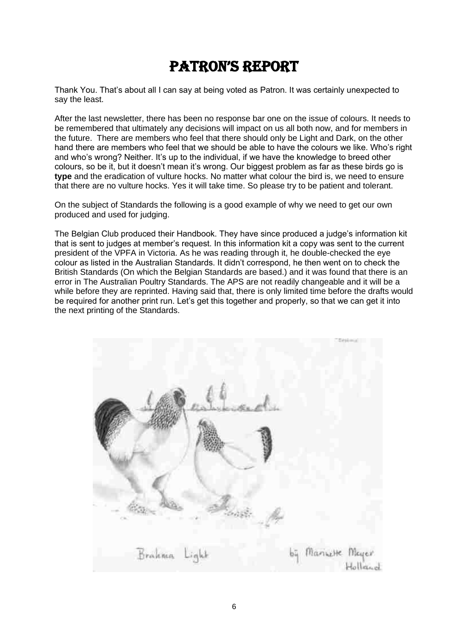### Patron's rePort

Thank You. That's about all I can say at being voted as Patron. It was certainly unexpected to say the least.

After the last newsletter, there has been no response bar one on the issue of colours. It needs to be remembered that ultimately any decisions will impact on us all both now, and for members in the future. There are members who feel that there should only be Light and Dark, on the other hand there are members who feel that we should be able to have the colours we like. Who's right and who's wrong? Neither. It's up to the individual, if we have the knowledge to breed other colours, so be it, but it doesn't mean it's wrong. Our biggest problem as far as these birds go is **type** and the eradication of vulture hocks. No matter what colour the bird is, we need to ensure that there are no vulture hocks. Yes it will take time. So please try to be patient and tolerant.

On the subject of Standards the following is a good example of why we need to get our own produced and used for judging.

The Belgian Club produced their Handbook. They have since produced a judge's information kit that is sent to judges at member's request. In this information kit a copy was sent to the current president of the VPFA in Victoria. As he was reading through it, he double-checked the eye colour as listed in the Australian Standards. It didn't correspond, he then went on to check the British Standards (On which the Belgian Standards are based.) and it was found that there is an error in The Australian Poultry Standards. The APS are not readily changeable and it will be a while before they are reprinted. Having said that, there is only limited time before the drafts would be required for another print run. Let's get this together and properly, so that we can get it into the next printing of the Standards.

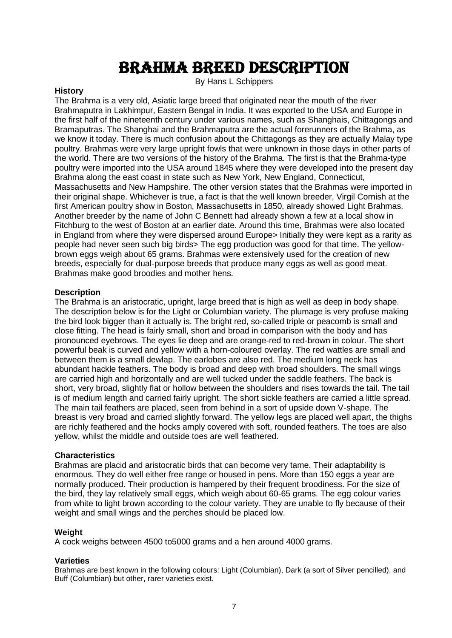### Brahma Breed description

By Hans L Schippers

#### **History**

The Brahma is a very old, Asiatic large breed that originated near the mouth of the river Brahmaputra in Lakhimpur, Eastern Bengal in India. It was exported to the USA and Europe in the first half of the nineteenth century under various names, such as Shanghais, Chittagongs and Bramaputras. The Shanghai and the Brahmaputra are the actual forerunners of the Brahma, as we know it today. There is much confusion about the Chittagongs as they are actually Malay type poultry. Brahmas were very large upright fowls that were unknown in those days in other parts of the world. There are two versions of the history of the Brahma. The first is that the Brahma-type poultry were imported into the USA around 1845 where they were developed into the present day Brahma along the east coast in state such as New York, New England, Connecticut, Massachusetts and New Hampshire. The other version states that the Brahmas were imported in their original shape. Whichever is true, a fact is that the well known breeder, Virgil Cornish at the first American poultry show in Boston, Massachusetts in 1850, already showed Light Brahmas. Another breeder by the name of John C Bennett had already shown a few at a local show in Fitchburg to the west of Boston at an earlier date. Around this time, Brahmas were also located in England from where they were dispersed around Europe> Initially they were kept as a rarity as people had never seen such big birds> The egg production was good for that time. The yellowbrown eggs weigh about 65 grams. Brahmas were extensively used for the creation of new breeds, especially for dual-purpose breeds that produce many eggs as well as good meat. Brahmas make good broodies and mother hens.

#### **Description**

The Brahma is an aristocratic, upright, large breed that is high as well as deep in body shape. The description below is for the Light or Columbian variety. The plumage is very profuse making the bird look bigger than it actually is. The bright red, so-called triple or peacomb is small and close fitting. The head is fairly small, short and broad in comparison with the body and has pronounced eyebrows. The eyes lie deep and are orange-red to red-brown in colour. The short powerful beak is curved and yellow with a horn-coloured overlay. The red wattles are small and between them is a small dewlap. The earlobes are also red. The medium long neck has abundant hackle feathers. The body is broad and deep with broad shoulders. The small wings are carried high and horizontally and are well tucked under the saddle feathers. The back is short, very broad, slightly flat or hollow between the shoulders and rises towards the tail. The tail is of medium length and carried fairly upright. The short sickle feathers are carried a little spread. The main tail feathers are placed, seen from behind in a sort of upside down V-shape. The breast is very broad and carried slightly forward. The yellow legs are placed well apart, the thighs are richly feathered and the hocks amply covered with soft, rounded feathers. The toes are also yellow, whilst the middle and outside toes are well feathered.

#### **Characteristics**

Brahmas are placid and aristocratic birds that can become very tame. Their adaptability is enormous. They do well either free range or housed in pens. More than 150 eggs a year are normally produced. Their production is hampered by their frequent broodiness. For the size of the bird, they lay relatively small eggs, which weigh about 60-65 grams. The egg colour varies from white to light brown according to the colour variety. They are unable to fly because of their weight and small wings and the perches should be placed low.

#### **Weight**

A cock weighs between 4500 to5000 grams and a hen around 4000 grams.

#### **Varieties**

Brahmas are best known in the following colours: Light (Columbian), Dark (a sort of Silver pencilled), and Buff (Columbian) but other, rarer varieties exist.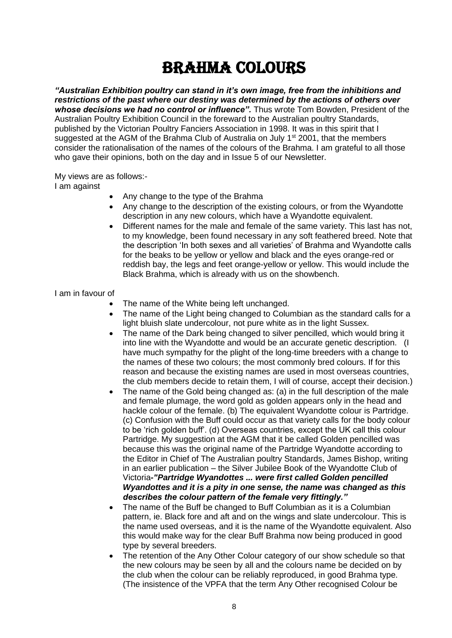### Brahma colours

*"Australian Exhibition poultry can stand in it's own image, free from the inhibitions and restrictions of the past where our destiny was determined by the actions of others over whose decisions we had no control or influence".* Thus wrote Tom Bowden, President of the Australian Poultry Exhibition Council in the foreward to the Australian poultry Standards, published by the Victorian Poultry Fanciers Association in 1998. It was in this spirit that I suggested at the AGM of the Brahma Club of Australia on July  $1<sup>st</sup> 2001$ , that the members consider the rationalisation of the names of the colours of the Brahma. I am grateful to all those who gave their opinions, both on the day and in Issue 5 of our Newsletter.

My views are as follows:-

I am against

- Any change to the type of the Brahma
- Any change to the description of the existing colours, or from the Wyandotte description in any new colours, which have a Wyandotte equivalent.
- Different names for the male and female of the same variety. This last has not, to my knowledge, been found necessary in any soft feathered breed. Note that the description 'In both sexes and all varieties' of Brahma and Wyandotte calls for the beaks to be yellow or yellow and black and the eyes orange-red or reddish bay, the legs and feet orange-yellow or yellow. This would include the Black Brahma, which is already with us on the showbench.

I am in favour of

- The name of the White being left unchanged.
- The name of the Light being changed to Columbian as the standard calls for a light bluish slate undercolour, not pure white as in the light Sussex.
- The name of the Dark being changed to silver pencilled, which would bring it into line with the Wyandotte and would be an accurate genetic description. (I have much sympathy for the plight of the long-time breeders with a change to the names of these two colours; the most commonly bred colours. If for this reason and because the existing names are used in most overseas countries, the club members decide to retain them, I will of course, accept their decision.)
- The name of the Gold being changed as: (a) in the full description of the male and female plumage, the word gold as golden appears only in the head and hackle colour of the female. (b) The equivalent Wyandotte colour is Partridge. (c) Confusion with the Buff could occur as that variety calls for the body colour to be 'rich golden buff'. (d) Overseas countries, except the UK call this colour Partridge. My suggestion at the AGM that it be called Golden pencilled was because this was the original name of the Partridge Wyandotte according to the Editor in Chief of The Australian poultry Standards, James Bishop, writing in an earlier publication – the Silver Jubilee Book of the Wyandotte Club of Victoria*-"Partridge Wyandottes ... were first called Golden pencilled Wyandottes and it is a pity in one sense, the name was changed as this describes the colour pattern of the female very fittingly."*
- The name of the Buff be changed to Buff Columbian as it is a Columbian pattern, ie. Black fore and aft and on the wings and slate undercolour. This is the name used overseas, and it is the name of the Wyandotte equivalent. Also this would make way for the clear Buff Brahma now being produced in good type by several breeders.
- The retention of the Any Other Colour category of our show schedule so that the new colours may be seen by all and the colours name be decided on by the club when the colour can be reliably reproduced, in good Brahma type. (The insistence of the VPFA that the term Any Other recognised Colour be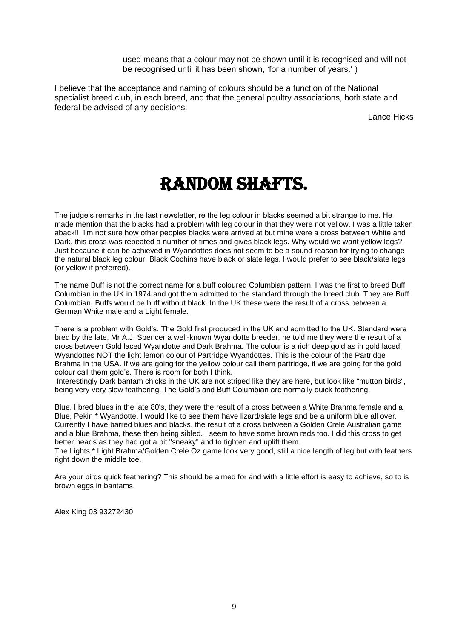used means that a colour may not be shown until it is recognised and will not be recognised until it has been shown, 'for a number of years.' )

I believe that the acceptance and naming of colours should be a function of the National specialist breed club, in each breed, and that the general poultry associations, both state and federal be advised of any decisions.

Lance Hicks

### Random Shafts.

The judge's remarks in the last newsletter, re the leg colour in blacks seemed a bit strange to me. He made mention that the blacks had a problem with leg colour in that they were not yellow. I was a little taken aback!!. I'm not sure how other peoples blacks were arrived at but mine were a cross between White and Dark, this cross was repeated a number of times and gives black legs. Why would we want yellow legs?. Just because it can be achieved in Wyandottes does not seem to be a sound reason for trying to change the natural black leg colour. Black Cochins have black or slate legs. I would prefer to see black/slate legs (or yellow if preferred).

The name Buff is not the correct name for a buff coloured Columbian pattern. I was the first to breed Buff Columbian in the UK in 1974 and got them admitted to the standard through the breed club. They are Buff Columbian, Buffs would be buff without black. In the UK these were the result of a cross between a German White male and a Light female.

There is a problem with Gold's. The Gold first produced in the UK and admitted to the UK. Standard were bred by the late, Mr A.J. Spencer a well-known Wyandotte breeder, he told me they were the result of a cross between Gold laced Wyandotte and Dark Brahma. The colour is a rich deep gold as in gold laced Wyandottes NOT the light lemon colour of Partridge Wyandottes. This is the colour of the Partridge Brahma in the USA. If we are going for the yellow colour call them partridge, if we are going for the gold colour call them gold's. There is room for both I think.

Interestingly Dark bantam chicks in the UK are not striped like they are here, but look like "mutton birds", being very very slow feathering. The Gold's and Buff Columbian are normally quick feathering.

Blue. I bred blues in the late 80's, they were the result of a cross between a White Brahma female and a Blue, Pekin \* Wyandotte. I would like to see them have lizard/slate legs and be a uniform blue all over. Currently I have barred blues and blacks, the result of a cross between a Golden Crele Australian game and a blue Brahma, these then being sibled. I seem to have some brown reds too. I did this cross to get better heads as they had got a bit "sneaky" and to tighten and uplift them.

The Lights \* Light Brahma/Golden Crele Oz game look very good, still a nice length of leg but with feathers right down the middle toe.

Are your birds quick feathering? This should be aimed for and with a little effort is easy to achieve, so to is brown eggs in bantams.

Alex King 03 93272430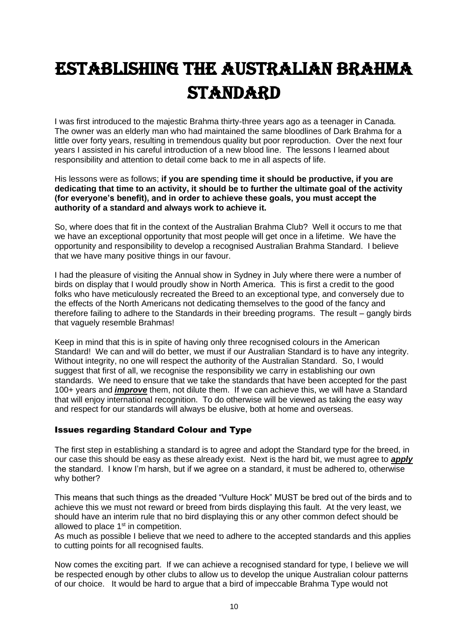## Establishing the Australian Brahma **STANDARD**

I was first introduced to the majestic Brahma thirty-three years ago as a teenager in Canada. The owner was an elderly man who had maintained the same bloodlines of Dark Brahma for a little over forty years, resulting in tremendous quality but poor reproduction. Over the next four years I assisted in his careful introduction of a new blood line. The lessons I learned about responsibility and attention to detail come back to me in all aspects of life.

His lessons were as follows; **if you are spending time it should be productive, if you are dedicating that time to an activity, it should be to further the ultimate goal of the activity (for everyone's benefit), and in order to achieve these goals, you must accept the authority of a standard and always work to achieve it.** 

So, where does that fit in the context of the Australian Brahma Club? Well it occurs to me that we have an exceptional opportunity that most people will get once in a lifetime. We have the opportunity and responsibility to develop a recognised Australian Brahma Standard. I believe that we have many positive things in our favour.

I had the pleasure of visiting the Annual show in Sydney in July where there were a number of birds on display that I would proudly show in North America. This is first a credit to the good folks who have meticulously recreated the Breed to an exceptional type, and conversely due to the effects of the North Americans not dedicating themselves to the good of the fancy and therefore failing to adhere to the Standards in their breeding programs. The result – gangly birds that vaguely resemble Brahmas!

Keep in mind that this is in spite of having only three recognised colours in the American Standard! We can and will do better, we must if our Australian Standard is to have any integrity. Without integrity, no one will respect the authority of the Australian Standard. So, I would suggest that first of all, we recognise the responsibility we carry in establishing our own standards. We need to ensure that we take the standards that have been accepted for the past 100+ years and *improve* them, not dilute them. If we can achieve this, we will have a Standard that will enjoy international recognition. To do otherwise will be viewed as taking the easy way and respect for our standards will always be elusive, both at home and overseas.

#### Issues regarding Standard Colour and Type

The first step in establishing a standard is to agree and adopt the Standard type for the breed, in our case this should be easy as these already exist. Next is the hard bit, we must agree to *apply*  the standard. I know I'm harsh, but if we agree on a standard, it must be adhered to, otherwise why bother?

This means that such things as the dreaded "Vulture Hock" MUST be bred out of the birds and to achieve this we must not reward or breed from birds displaying this fault. At the very least, we should have an interim rule that no bird displaying this or any other common defect should be allowed to place 1<sup>st</sup> in competition.

As much as possible I believe that we need to adhere to the accepted standards and this applies to cutting points for all recognised faults.

Now comes the exciting part. If we can achieve a recognised standard for type, I believe we will be respected enough by other clubs to allow us to develop the unique Australian colour patterns of our choice. It would be hard to argue that a bird of impeccable Brahma Type would not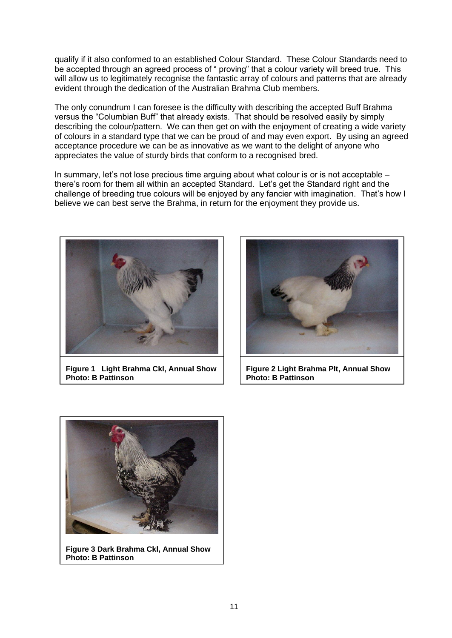qualify if it also conformed to an established Colour Standard. These Colour Standards need to be accepted through an agreed process of " proving" that a colour variety will breed true. This will allow us to legitimately recognise the fantastic array of colours and patterns that are already evident through the dedication of the Australian Brahma Club members.

The only conundrum I can foresee is the difficulty with describing the accepted Buff Brahma versus the "Columbian Buff" that already exists. That should be resolved easily by simply describing the colour/pattern. We can then get on with the enjoyment of creating a wide variety of colours in a standard type that we can be proud of and may even export. By using an agreed acceptance procedure we can be as innovative as we want to the delight of anyone who appreciates the value of sturdy birds that conform to a recognised bred.

In summary, let's not lose precious time arguing about what colour is or is not acceptable – there's room for them all within an accepted Standard. Let's get the Standard right and the challenge of breeding true colours will be enjoyed by any fancier with imagination. That's how I believe we can best serve the Brahma, in return for the enjoyment they provide us.



**Figure 1 Light Brahma Ckl, Annual Show Photo: B Pattinson**



**Figure 2 Light Brahma Plt, Annual Show Photo: B Pattinson**



**Figure 3 Dark Brahma Ckl, Annual Show Photo: B Pattinson**